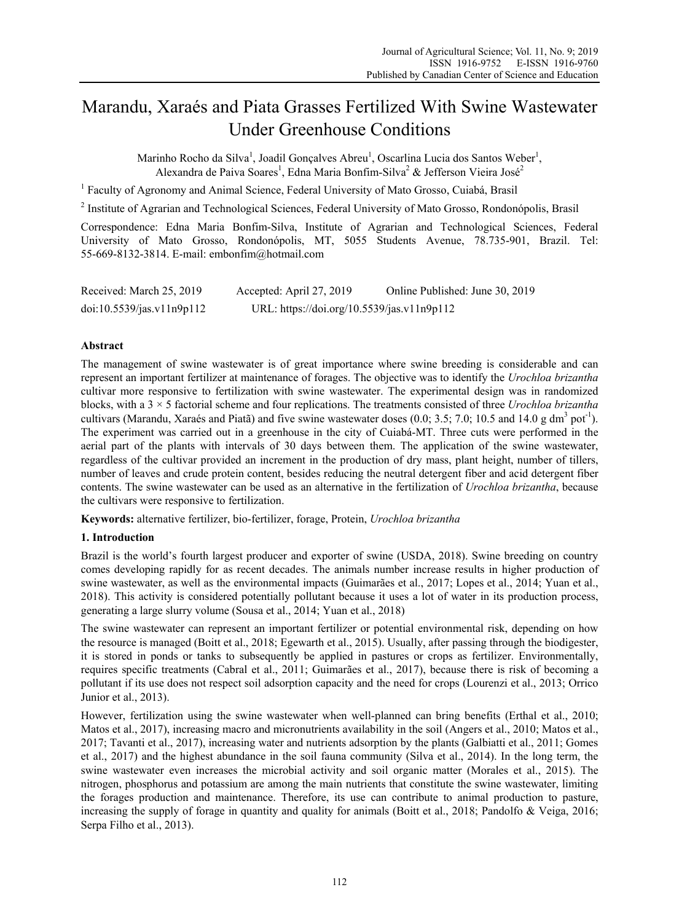# Marandu, Xaraés and Piata Grasses Fertilized With Swine Wastewater Under Greenhouse Conditions

Marinho Rocho da Silva<sup>1</sup>, Joadil Gonçalves Abreu<sup>1</sup>, Oscarlina Lucia dos Santos Weber<sup>1</sup>, Alexandra de Paiva Soares<sup>1</sup>, Edna Maria Bonfim-Silva<sup>2</sup> & Jefferson Vieira José<sup>2</sup>

<sup>1</sup> Faculty of Agronomy and Animal Science, Federal University of Mato Grosso, Cuiabá, Brasil

<sup>2</sup> Institute of Agrarian and Technological Sciences, Federal University of Mato Grosso, Rondonópolis, Brasil

Correspondence: Edna Maria Bonfim-Silva, Institute of Agrarian and Technological Sciences, Federal University of Mato Grosso, Rondonópolis, MT, 5055 Students Avenue, 78.735-901, Brazil. Tel: 55-669-8132-3814. E-mail: embonfim@hotmail.com

| Received: March 25, 2019  | Accepted: April 27, 2019                   | Online Published: June 30, 2019 |
|---------------------------|--------------------------------------------|---------------------------------|
| doi:10.5539/jas.v11n9p112 | URL: https://doi.org/10.5539/jas.v11n9p112 |                                 |

## **Abstract**

The management of swine wastewater is of great importance where swine breeding is considerable and can represent an important fertilizer at maintenance of forages. The objective was to identify the *Urochloa brizantha* cultivar more responsive to fertilization with swine wastewater. The experimental design was in randomized blocks, with a 3 × 5 factorial scheme and four replications. The treatments consisted of three *Urochloa brizantha* cultivars (Marandu, Xaraés and Piatã) and five swine wastewater doses  $(0.0; 3.5; 7.0; 10.5$  and 14.0 g dm<sup>3</sup> pot<sup>-1</sup>). The experiment was carried out in a greenhouse in the city of Cuiabá-MT. Three cuts were performed in the aerial part of the plants with intervals of 30 days between them. The application of the swine wastewater, regardless of the cultivar provided an increment in the production of dry mass, plant height, number of tillers, number of leaves and crude protein content, besides reducing the neutral detergent fiber and acid detergent fiber contents. The swine wastewater can be used as an alternative in the fertilization of *Urochloa brizantha*, because the cultivars were responsive to fertilization.

**Keywords:** alternative fertilizer, bio-fertilizer, forage, Protein, *Urochloa brizantha*

## **1. Introduction**

Brazil is the world's fourth largest producer and exporter of swine (USDA, 2018). Swine breeding on country comes developing rapidly for as recent decades. The animals number increase results in higher production of swine wastewater, as well as the environmental impacts (Guimarães et al., 2017; Lopes et al., 2014; Yuan et al., 2018). This activity is considered potentially pollutant because it uses a lot of water in its production process, generating a large slurry volume (Sousa et al., 2014; Yuan et al., 2018)

The swine wastewater can represent an important fertilizer or potential environmental risk, depending on how the resource is managed (Boitt et al., 2018; Egewarth et al., 2015). Usually, after passing through the biodigester, it is stored in ponds or tanks to subsequently be applied in pastures or crops as fertilizer. Environmentally, requires specific treatments (Cabral et al., 2011; Guimarães et al., 2017), because there is risk of becoming a pollutant if its use does not respect soil adsorption capacity and the need for crops (Lourenzi et al., 2013; Orrico Junior et al., 2013).

However, fertilization using the swine wastewater when well-planned can bring benefits (Erthal et al., 2010; Matos et al., 2017), increasing macro and micronutrients availability in the soil (Angers et al., 2010; Matos et al., 2017; Tavanti et al., 2017), increasing water and nutrients adsorption by the plants (Galbiatti et al., 2011; Gomes et al., 2017) and the highest abundance in the soil fauna community (Silva et al., 2014). In the long term, the swine wastewater even increases the microbial activity and soil organic matter (Morales et al., 2015). The nitrogen, phosphorus and potassium are among the main nutrients that constitute the swine wastewater, limiting the forages production and maintenance. Therefore, its use can contribute to animal production to pasture, increasing the supply of forage in quantity and quality for animals (Boitt et al., 2018; Pandolfo & Veiga, 2016; Serpa Filho et al., 2013).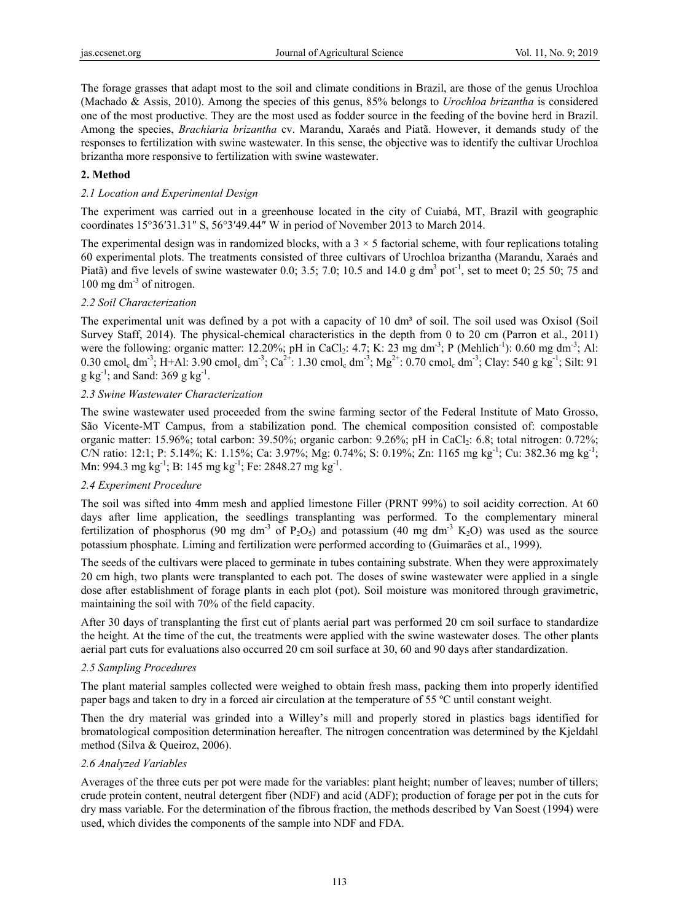The forage grasses that adapt most to the soil and climate conditions in Brazil, are those of the genus Urochloa (Machado & Assis, 2010). Among the species of this genus, 85% belongs to *Urochloa brizantha* is considered one of the most productive. They are the most used as fodder source in the feeding of the bovine herd in Brazil. Among the species, *Brachiaria brizantha* cv. Marandu, Xaraés and Piatã. However, it demands study of the responses to fertilization with swine wastewater. In this sense, the objective was to identify the cultivar Urochloa brizantha more responsive to fertilization with swine wastewater.

## **2. Method**

### *2.1 Location and Experimental Design*

The experiment was carried out in a greenhouse located in the city of Cuiabá, MT, Brazil with geographic coordinates 15°36′31.31″ S, 56°3′49.44″ W in period of November 2013 to March 2014.

The experimental design was in randomized blocks, with a  $3 \times 5$  factorial scheme, with four replications totaling 60 experimental plots. The treatments consisted of three cultivars of Urochloa brizantha (Marandu, Xaraés and Piatã) and five levels of swine wastewater 0.0; 3.5; 7.0; 10.5 and 14.0 g dm<sup>3</sup> pot<sup>-1</sup>, set to meet 0; 25 50; 75 and 100 mg dm-3 of nitrogen.

#### *2.2 Soil Characterization*

The experimental unit was defined by a pot with a capacity of 10 dm<sup>3</sup> of soil. The soil used was Oxisol (Soil) Survey Staff, 2014). The physical-chemical characteristics in the depth from 0 to 20 cm (Parron et al., 2011) were the following: organic matter: 12.20%; pH in CaCl<sub>2</sub>: 4.7; K: 23 mg dm<sup>-3</sup>; P (Mehlich<sup>-1</sup>): 0.60 mg dm<sup>-3</sup>; Al: 0.30 cmol<sub>c</sub> dm<sup>-3</sup>; H+Al: 3.90 cmol<sub>c</sub> dm<sup>-3</sup>; Ca<sup>2+</sup>: 1.30 cmol<sub>c</sub> dm<sup>-3</sup>; Mg<sup>2+</sup>: 0.70 cmol<sub>c</sub> dm<sup>-3</sup>; Clay: 540 g kg<sup>-1</sup>; Silt: 91  $g \text{ kg}^{-1}$ ; and Sand: 369  $g \text{ kg}^{-1}$ .

#### *2.3 Swine Wastewater Characterization*

The swine wastewater used proceeded from the swine farming sector of the Federal Institute of Mato Grosso, São Vicente-MT Campus, from a stabilization pond. The chemical composition consisted of: compostable organic matter: 15.96%; total carbon: 39.50%; organic carbon: 9.26%; pH in CaCl2: 6.8; total nitrogen: 0.72%; C/N ratio: 12:1; P: 5.14%; K: 1.15%; Ca: 3.97%; Mg: 0.74%; S: 0.19%; Zn: 1165 mg kg<sup>-1</sup>; Cu: 382.36 mg kg<sup>-1</sup>; Mn: 994.3 mg kg<sup>-1</sup>; B: 145 mg kg<sup>-1</sup>; Fe: 2848.27 mg kg<sup>-1</sup>.

## *2.4 Experiment Procedure*

The soil was sifted into 4mm mesh and applied limestone Filler (PRNT 99%) to soil acidity correction. At 60 days after lime application, the seedlings transplanting was performed. To the complementary mineral fertilization of phosphorus (90 mg dm<sup>-3</sup> of P<sub>2</sub>O<sub>5</sub>) and potassium (40 mg dm<sup>-3</sup> K<sub>2</sub>O) was used as the source potassium phosphate. Liming and fertilization were performed according to (Guimarães et al., 1999).

The seeds of the cultivars were placed to germinate in tubes containing substrate. When they were approximately 20 cm high, two plants were transplanted to each pot. The doses of swine wastewater were applied in a single dose after establishment of forage plants in each plot (pot). Soil moisture was monitored through gravimetric, maintaining the soil with 70% of the field capacity.

After 30 days of transplanting the first cut of plants aerial part was performed 20 cm soil surface to standardize the height. At the time of the cut, the treatments were applied with the swine wastewater doses. The other plants aerial part cuts for evaluations also occurred 20 cm soil surface at 30, 60 and 90 days after standardization.

#### *2.5 Sampling Procedures*

The plant material samples collected were weighed to obtain fresh mass, packing them into properly identified paper bags and taken to dry in a forced air circulation at the temperature of 55 ºC until constant weight.

Then the dry material was grinded into a Willey's mill and properly stored in plastics bags identified for bromatological composition determination hereafter. The nitrogen concentration was determined by the Kjeldahl method (Silva & Queiroz, 2006).

#### *2.6 Analyzed Variables*

Averages of the three cuts per pot were made for the variables: plant height; number of leaves; number of tillers; crude protein content, neutral detergent fiber (NDF) and acid (ADF); production of forage per pot in the cuts for dry mass variable. For the determination of the fibrous fraction, the methods described by Van Soest (1994) were used, which divides the components of the sample into NDF and FDA.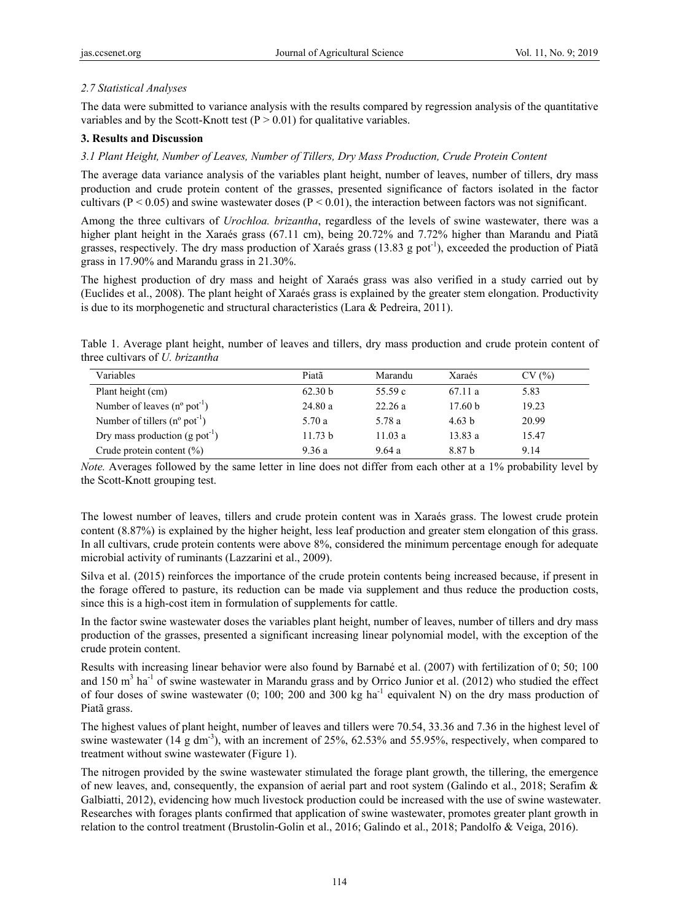## *2.7 Statistical Analyses*

The data were submitted to variance analysis with the results compared by regression analysis of the quantitative variables and by the Scott-Knott test  $(P > 0.01)$  for qualitative variables.

#### **3. Results and Discussion**

## *3.1 Plant Height, Number of Leaves, Number of Tillers, Dry Mass Production, Crude Protein Content*

The average data variance analysis of the variables plant height, number of leaves, number of tillers, dry mass production and crude protein content of the grasses, presented significance of factors isolated in the factor cultivars ( $P < 0.05$ ) and swine wastewater doses ( $P < 0.01$ ), the interaction between factors was not significant.

Among the three cultivars of *Urochloa. brizantha*, regardless of the levels of swine wastewater, there was a higher plant height in the Xaraés grass (67.11 cm), being 20.72% and 7.72% higher than Marandu and Piatã grasses, respectively. The dry mass production of Xaraés grass  $(13.83 \text{ g} \text{ pot}^{-1})$ , exceeded the production of Piatã grass in 17.90% and Marandu grass in 21.30%.

The highest production of dry mass and height of Xaraés grass was also verified in a study carried out by (Euclides et al., 2008). The plant height of Xaraés grass is explained by the greater stem elongation. Productivity is due to its morphogenetic and structural characteristics (Lara & Pedreira, 2011).

Table 1. Average plant height, number of leaves and tillers, dry mass production and crude protein content of three cultivars of *U. brizantha* 

| Variables                                         | Piatã   | Marandu | Xaraés             | CV(%) |
|---------------------------------------------------|---------|---------|--------------------|-------|
| Plant height (cm)                                 | 62.30 b | 55.59 c | 67.11a             | 5.83  |
| Number of leaves $(n^{\circ}$ pot <sup>-1</sup> ) | 24.80a  | 22.26a  | 17.60 <sub>b</sub> | 19.23 |
| Number of tillers $(n^{\circ} \text{ pot}^{-1})$  | 5.70 a  | 5.78 a  | 4.63 h             | 20.99 |
| Dry mass production (g pot <sup>-1</sup> )        | 11.73 b | 11.03a  | 13.83a             | 15.47 |
| Crude protein content $(\% )$                     | 9.36 a  | 9.64a   | 8.87 h             | 9.14  |

*Note.* Averages followed by the same letter in line does not differ from each other at a 1% probability level by the Scott-Knott grouping test.

The lowest number of leaves, tillers and crude protein content was in Xaraés grass. The lowest crude protein content (8.87%) is explained by the higher height, less leaf production and greater stem elongation of this grass. In all cultivars, crude protein contents were above 8%, considered the minimum percentage enough for adequate microbial activity of ruminants (Lazzarini et al., 2009).

Silva et al. (2015) reinforces the importance of the crude protein contents being increased because, if present in the forage offered to pasture, its reduction can be made via supplement and thus reduce the production costs, since this is a high-cost item in formulation of supplements for cattle.

In the factor swine wastewater doses the variables plant height, number of leaves, number of tillers and dry mass production of the grasses, presented a significant increasing linear polynomial model, with the exception of the crude protein content.

Results with increasing linear behavior were also found by Barnabé et al. (2007) with fertilization of 0; 50; 100 and 150 m<sup>3</sup> ha<sup>-1</sup> of swine wastewater in Marandu grass and by Orrico Junior et al. (2012) who studied the effect of four doses of swine wastewater  $(0; 100; 200$  and 300 kg ha<sup>-1</sup> equivalent N) on the dry mass production of Piatã grass.

The highest values of plant height, number of leaves and tillers were 70.54, 33.36 and 7.36 in the highest level of swine wastewater (14 g dm<sup>-3</sup>), with an increment of 25%, 62.53% and 55.95%, respectively, when compared to treatment without swine wastewater (Figure 1).

The nitrogen provided by the swine wastewater stimulated the forage plant growth, the tillering, the emergence of new leaves, and, consequently, the expansion of aerial part and root system (Galindo et al., 2018; Serafim & Galbiatti, 2012), evidencing how much livestock production could be increased with the use of swine wastewater. Researches with forages plants confirmed that application of swine wastewater, promotes greater plant growth in relation to the control treatment (Brustolin-Golin et al., 2016; Galindo et al., 2018; Pandolfo & Veiga, 2016).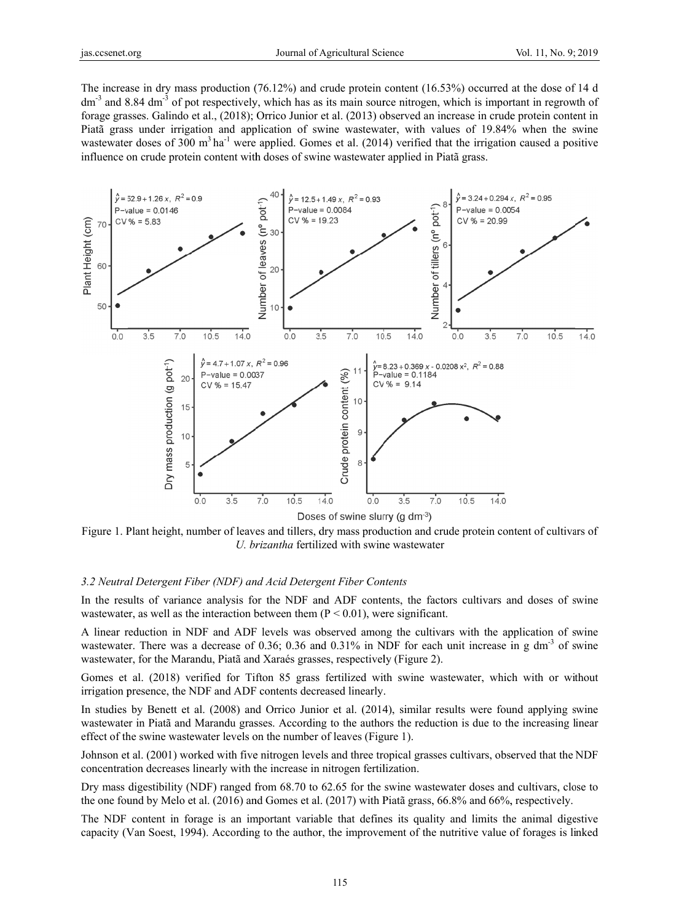The increase in dry mass production (76.12%) and crude protein content (16.53%) occurred at the dose of 14 d  $dm<sup>3</sup>$  and 8.84 dm<sup>-3</sup> of pot respectively, which has as its main source nitrogen, which is important in regrowth of forage grasses. Galindo et al., (2018); Orrico Junior et al. (2013) observed an increase in crude protein content in Piatã grass under irrigation and application of swine wastewater, with values of 19.84% when the swine wastewater doses of 300  $m<sup>3</sup> h a<sup>-1</sup>$  were applied. Gomes et al. (2014) verified that the irrigation caused a positive influence on crude protein content with doses of swine wastewater applied in Piatã grass.



Figure 1. Plant height, number of leaves and tillers, dry mass production and crude protein content of cultivars of U. brizantha fertilized with swine wastewater

### 3.2 Neutral Detergent Fiber (NDF) and Acid Detergent Fiber Contents

In the results of variance analysis for the NDF and ADF contents, the factors cultivars and doses of swine wastewater, as well as the interaction between them  $(P < 0.01)$ , were significant.

A linear reduction in NDF and ADF levels was observed among the cultivars with the application of swine wastewater. There was a decrease of 0.36; 0.36 and 0.31% in NDF for each unit increase in g dm<sup>-3</sup> of swine wastewater, for the Marandu, Piatã and Xaraés grasses, respectively (Figure 2).

Gomes et al. (2018) verified for Tifton 85 grass fertilized with swine wastewater, which with or without irrigation presence, the NDF and ADF contents decreased linearly.

In studies by Benett et al. (2008) and Orrico Junior et al. (2014), similar results were found applying swine wastewater in Piatã and Marandu grasses. According to the authors the reduction is due to the increasing linear effect of the swine wastewater levels on the number of leaves (Figure 1).

Johnson et al. (2001) worked with five nitrogen levels and three tropical grasses cultivars, observed that the NDF concentration decreases linearly with the increase in nitrogen fertilization.

Dry mass digestibility (NDF) ranged from 68.70 to 62.65 for the swine wastewater doses and cultivars, close to the one found by Melo et al. (2016) and Gomes et al. (2017) with Piatã grass, 66.8% and 66%, respectively.

The NDF content in forage is an important variable that defines its quality and limits the animal digestive capacity (Van Soest, 1994). According to the author, the improvement of the nutritive value of forages is linked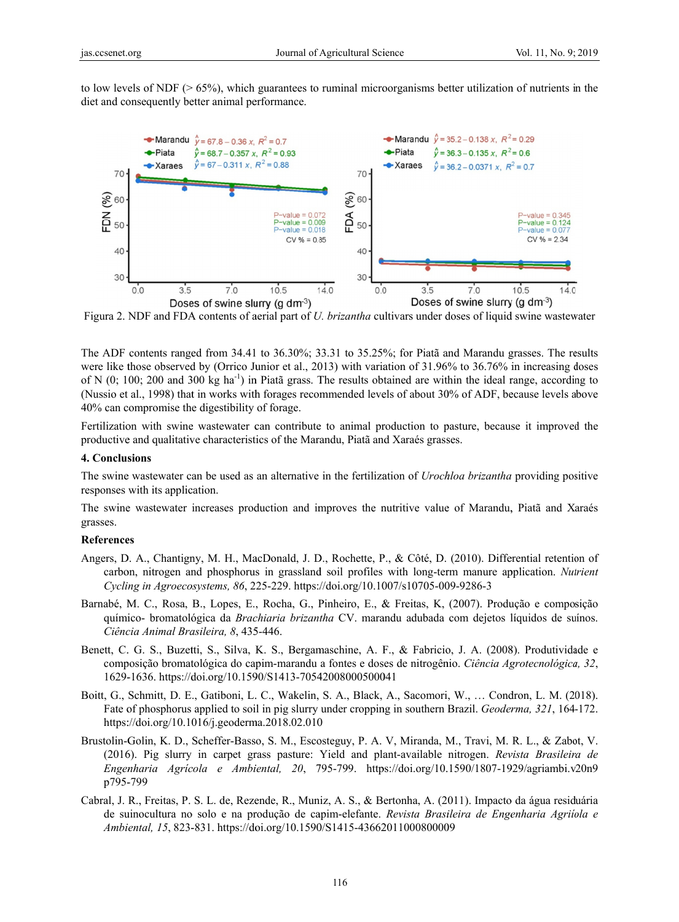to low levels of NDF ( $> 65\%$ ), which guarantees to ruminal microorganisms better utilization of nutrients in the diet and consequently better animal performance.



Figura 2. NDF and FDA contents of aerial part of *U. brizantha* cultivars under doses of liquid swine wastewater

The ADF contents ranged from 34.41 to 36.30%; 33.31 to 35.25%; for Piatã and Marandu grasses. The results were like those observed by (Orrico Junior et al., 2013) with variation of 31.96% to 36.76% in increasing doses of N  $(0, 100, 200, 300 \text{ kg} \text{h}^{-1})$  in Piatã grass. The results obtained are within the ideal range, according to (Nussio et al., 1998) that in works with forages recommended levels of about 30% of ADF, because levels above 40% can compromise the digestibility of forage.

Fertilization with swine wastewater can contribute to animal production to pasture, because it improved the productive and qualitative characteristics of the Marandu, Piatã and Xaraés grasses.

#### 4. Conclusions

The swine wastewater can be used as an alternative in the fertilization of *Urochloa brizantha* providing positive responses with its application.

The swine wastewater increases production and improves the nutritive value of Marandu, Piatã and Xaraés grasses.

#### **References**

- Angers, D. A., Chantigny, M. H., MacDonald, J. D., Rochette, P., & Côté, D. (2010). Differential retention of carbon, nitrogen and phosphorus in grassland soil profiles with long-term manure application. Nutrient Cycling in Agroecosystems, 86, 225-229. https://doi.org/10.1007/s10705-009-9286-3
- Barnabé, M. C., Rosa, B., Lopes, E., Rocha, G., Pinheiro, E., & Freitas, K. (2007). Produção e composição químico- bromatológica da Brachiaria brizantha CV. marandu adubada com dejetos líquidos de suínos. Ciência Animal Brasileira, 8, 435-446.
- Benett, C. G. S., Buzetti, S., Silva, K. S., Bergamaschine, A. F., & Fabricio, J. A. (2008). Produtividade e composição bromatológica do capim-marandu a fontes e doses de nitrogênio. Ciência Agrotecnológica, 32, 1629-1636. https://doi.org/10.1590/S1413-70542008000500041
- Boitt, G., Schmitt, D. E., Gatiboni, L. C., Wakelin, S. A., Black, A., Sacomori, W., ... Condron, L. M. (2018). Fate of phosphorus applied to soil in pig slurry under cropping in southern Brazil. Geoderma, 321, 164-172. https://doi.org/10.1016/j.geoderma.2018.02.010
- Brustolin-Golin, K. D., Scheffer-Basso, S. M., Escosteguy, P. A. V, Miranda, M., Travi, M. R. L., & Zabot, V. (2016). Pig slurry in carpet grass pasture: Yield and plant-available nitrogen. Revista Brasileira de Engenharia Agrícola e Ambiental, 20, 795-799. https://doi.org/10.1590/1807-1929/agriambi.v20n9 p795-799
- Cabral, J. R., Freitas, P. S. L. de, Rezende, R., Muniz, A. S., & Bertonha, A. (2011). Impacto da água residuária de suinocultura no solo e na produção de capim-elefante. Revista Brasileira de Engenharia Agriiola e Ambiental, 15, 823-831. https://doi.org/10.1590/S1415-43662011000800009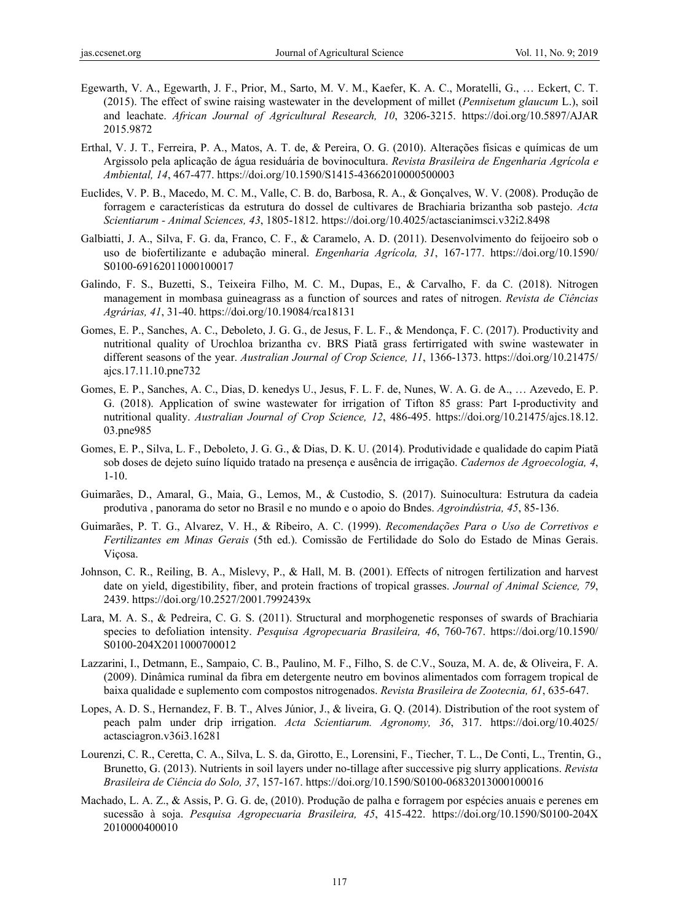- Egewarth, V. A., Egewarth, J. F., Prior, M., Sarto, M. V. M., Kaefer, K. A. C., Moratelli, G., … Eckert, C. T. (2015). The effect of swine raising wastewater in the development of millet (*Pennisetum glaucum* L.), soil and leachate. *African Journal of Agricultural Research, 10*, 3206-3215. https://doi.org/10.5897/AJAR 2015.9872
- Erthal, V. J. T., Ferreira, P. A., Matos, A. T. de, & Pereira, O. G. (2010). Alterações físicas e químicas de um Argissolo pela aplicação de água residuária de bovinocultura. *Revista Brasileira de Engenharia Agrícola e Ambiental, 14*, 467-477. https://doi.org/10.1590/S1415-43662010000500003
- Euclides, V. P. B., Macedo, M. C. M., Valle, C. B. do, Barbosa, R. A., & Gonçalves, W. V. (2008). Produção de forragem e características da estrutura do dossel de cultivares de Brachiaria brizantha sob pastejo. *Acta Scientiarum - Animal Sciences, 43*, 1805-1812. https://doi.org/10.4025/actascianimsci.v32i2.8498
- Galbiatti, J. A., Silva, F. G. da, Franco, C. F., & Caramelo, A. D. (2011). Desenvolvimento do feijoeiro sob o uso de biofertilizante e adubação mineral. *Engenharia Agrícola, 31*, 167-177. https://doi.org/10.1590/ S0100-69162011000100017
- Galindo, F. S., Buzetti, S., Teixeira Filho, M. C. M., Dupas, E., & Carvalho, F. da C. (2018). Nitrogen management in mombasa guineagrass as a function of sources and rates of nitrogen. *Revista de Ciências Agrárias, 41*, 31-40. https://doi.org/10.19084/rca18131
- Gomes, E. P., Sanches, A. C., Deboleto, J. G. G., de Jesus, F. L. F., & Mendonça, F. C. (2017). Productivity and nutritional quality of Urochloa brizantha cv. BRS Piatã grass fertirrigated with swine wastewater in different seasons of the year. *Australian Journal of Crop Science, 11*, 1366-1373. https://doi.org/10.21475/ ajcs.17.11.10.pne732
- Gomes, E. P., Sanches, A. C., Dias, D. kenedys U., Jesus, F. L. F. de, Nunes, W. A. G. de A., … Azevedo, E. P. G. (2018). Application of swine wastewater for irrigation of Tifton 85 grass: Part I-productivity and nutritional quality. *Australian Journal of Crop Science, 12*, 486-495. https://doi.org/10.21475/ajcs.18.12. 03.pne985
- Gomes, E. P., Silva, L. F., Deboleto, J. G. G., & Dias, D. K. U. (2014). Produtividade e qualidade do capim Piatã sob doses de dejeto suíno líquido tratado na presença e ausência de irrigação. *Cadernos de Agroecologia, 4*, 1-10.
- Guimarães, D., Amaral, G., Maia, G., Lemos, M., & Custodio, S. (2017). Suinocultura: Estrutura da cadeia produtiva , panorama do setor no Brasil e no mundo e o apoio do Bndes. *Agroindústria, 45*, 85-136.
- Guimarães, P. T. G., Alvarez, V. H., & Ribeiro, A. C. (1999). *Recomendações Para o Uso de Corretivos e Fertilizantes em Minas Gerais* (5th ed.). Comissão de Fertilidade do Solo do Estado de Minas Gerais. Viçosa.
- Johnson, C. R., Reiling, B. A., Mislevy, P., & Hall, M. B. (2001). Effects of nitrogen fertilization and harvest date on yield, digestibility, fiber, and protein fractions of tropical grasses. *Journal of Animal Science, 79*, 2439. https://doi.org/10.2527/2001.7992439x
- Lara, M. A. S., & Pedreira, C. G. S. (2011). Structural and morphogenetic responses of swards of Brachiaria species to defoliation intensity. *Pesquisa Agropecuaria Brasileira, 46*, 760-767. https://doi.org/10.1590/ S0100-204X2011000700012
- Lazzarini, I., Detmann, E., Sampaio, C. B., Paulino, M. F., Filho, S. de C.V., Souza, M. A. de, & Oliveira, F. A. (2009). Dinâmica ruminal da fibra em detergente neutro em bovinos alimentados com forragem tropical de baixa qualidade e suplemento com compostos nitrogenados. *Revista Brasileira de Zootecnia, 61*, 635-647.
- Lopes, A. D. S., Hernandez, F. B. T., Alves Júnior, J., & liveira, G. Q. (2014). Distribution of the root system of peach palm under drip irrigation. *Acta Scientiarum. Agronomy, 36*, 317. https://doi.org/10.4025/ actasciagron.v36i3.16281
- Lourenzi, C. R., Ceretta, C. A., Silva, L. S. da, Girotto, E., Lorensini, F., Tiecher, T. L., De Conti, L., Trentin, G., Brunetto, G. (2013). Nutrients in soil layers under no-tillage after successive pig slurry applications. *Revista Brasileira de Ciência do Solo, 37*, 157-167. https://doi.org/10.1590/S0100-06832013000100016
- Machado, L. A. Z., & Assis, P. G. G. de, (2010). Produção de palha e forragem por espécies anuais e perenes em sucessão à soja. *Pesquisa Agropecuaria Brasileira, 45*, 415-422. https://doi.org/10.1590/S0100-204X 2010000400010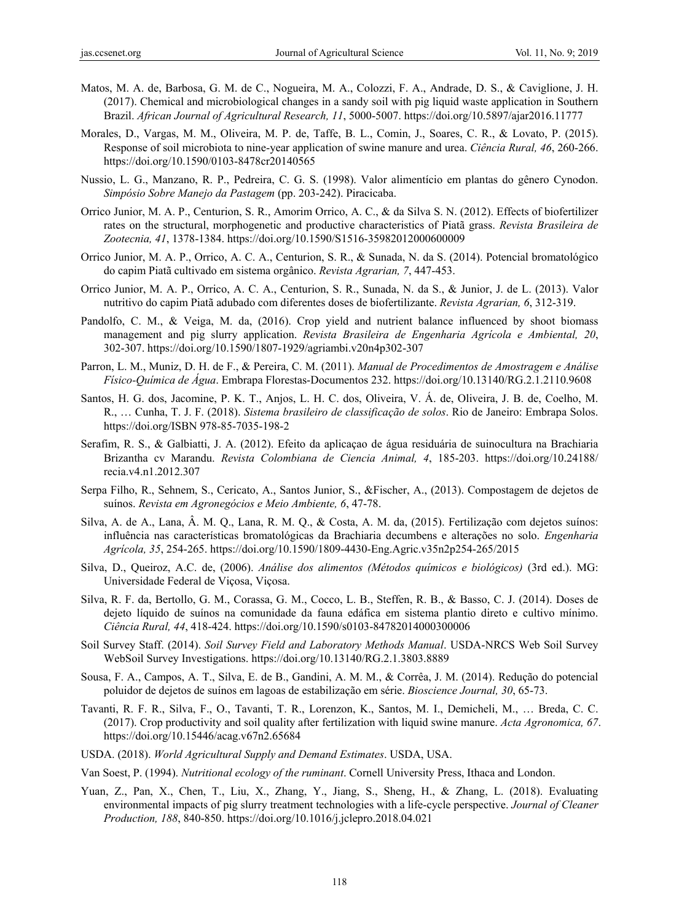- Matos, M. A. de, Barbosa, G. M. de C., Nogueira, M. A., Colozzi, F. A., Andrade, D. S., & Caviglione, J. H. (2017). Chemical and microbiological changes in a sandy soil with pig liquid waste application in Southern Brazil. *African Journal of Agricultural Research, 11*, 5000-5007. https://doi.org/10.5897/ajar2016.11777
- Morales, D., Vargas, M. M., Oliveira, M. P. de, Taffe, B. L., Comin, J., Soares, C. R., & Lovato, P. (2015). Response of soil microbiota to nine-year application of swine manure and urea. *Ciência Rural, 46*, 260-266. https://doi.org/10.1590/0103-8478cr20140565
- Nussio, L. G., Manzano, R. P., Pedreira, C. G. S. (1998). Valor alimentício em plantas do gênero Cynodon. *Simpósio Sobre Manejo da Pastagem* (pp. 203-242). Piracicaba.
- Orrico Junior, M. A. P., Centurion, S. R., Amorim Orrico, A. C., & da Silva S. N. (2012). Effects of biofertilizer rates on the structural, morphogenetic and productive characteristics of Piatã grass. *Revista Brasileira de Zootecnia, 41*, 1378-1384. https://doi.org/10.1590/S1516-35982012000600009
- Orrico Junior, M. A. P., Orrico, A. C. A., Centurion, S. R., & Sunada, N. da S. (2014). Potencial bromatológico do capim Piatã cultivado em sistema orgânico. *Revista Agrarian, 7*, 447-453.
- Orrico Junior, M. A. P., Orrico, A. C. A., Centurion, S. R., Sunada, N. da S., & Junior, J. de L. (2013). Valor nutritivo do capim Piatã adubado com diferentes doses de biofertilizante. *Revista Agrarian, 6*, 312-319.
- Pandolfo, C. M., & Veiga, M. da, (2016). Crop yield and nutrient balance influenced by shoot biomass management and pig slurry application. *Revista Brasileira de Engenharia Agrícola e Ambiental, 20*, 302-307. https://doi.org/10.1590/1807-1929/agriambi.v20n4p302-307
- Parron, L. M., Muniz, D. H. de F., & Pereira, C. M. (2011). *Manual de Procedimentos de Amostragem e Análise Físico-Química de Água*. Embrapa Florestas-Documentos 232. https://doi.org/10.13140/RG.2.1.2110.9608
- Santos, H. G. dos, Jacomine, P. K. T., Anjos, L. H. C. dos, Oliveira, V. Á. de, Oliveira, J. B. de, Coelho, M. R., … Cunha, T. J. F. (2018). *Sistema brasileiro de classificação de solos*. Rio de Janeiro: Embrapa Solos. https://doi.org/ISBN 978-85-7035-198-2
- Serafim, R. S., & Galbiatti, J. A. (2012). Efeito da aplicaçao de água residuária de suinocultura na Brachiaria Brizantha cv Marandu. *Revista Colombiana de Ciencia Animal, 4*, 185-203. https://doi.org/10.24188/ recia.v4.n1.2012.307
- Serpa Filho, R., Sehnem, S., Cericato, A., Santos Junior, S., &Fischer, A., (2013). Compostagem de dejetos de suínos. *Revista em Agronegócios e Meio Ambiente, 6*, 47-78.
- Silva, A. de A., Lana, Â. M. Q., Lana, R. M. Q., & Costa, A. M. da, (2015). Fertilização com dejetos suínos: influência nas características bromatológicas da Brachiaria decumbens e alterações no solo. *Engenharia Agrícola, 35*, 254-265. https://doi.org/10.1590/1809-4430-Eng.Agric.v35n2p254-265/2015
- Silva, D., Queiroz, A.C. de, (2006). *Análise dos alimentos (Métodos químicos e biológicos)* (3rd ed.). MG: Universidade Federal de Viçosa, Viçosa.
- Silva, R. F. da, Bertollo, G. M., Corassa, G. M., Cocco, L. B., Steffen, R. B., & Basso, C. J. (2014). Doses de dejeto líquido de suínos na comunidade da fauna edáfica em sistema plantio direto e cultivo mínimo. *Ciência Rural, 44*, 418-424. https://doi.org/10.1590/s0103-84782014000300006
- Soil Survey Staff. (2014). *Soil Survey Field and Laboratory Methods Manual*. USDA-NRCS Web Soil Survey WebSoil Survey Investigations. https://doi.org/10.13140/RG.2.1.3803.8889
- Sousa, F. A., Campos, A. T., Silva, E. de B., Gandini, A. M. M., & Corrêa, J. M. (2014). Redução do potencial poluidor de dejetos de suínos em lagoas de estabilização em série. *Bioscience Journal, 30*, 65-73.
- Tavanti, R. F. R., Silva, F., O., Tavanti, T. R., Lorenzon, K., Santos, M. I., Demicheli, M., … Breda, C. C. (2017). Crop productivity and soil quality after fertilization with liquid swine manure. *Acta Agronomica, 67*. https://doi.org/10.15446/acag.v67n2.65684
- USDA. (2018). *World Agricultural Supply and Demand Estimates*. USDA, USA.
- Van Soest, P. (1994). *Nutritional ecology of the ruminant*. Cornell University Press, Ithaca and London.
- Yuan, Z., Pan, X., Chen, T., Liu, X., Zhang, Y., Jiang, S., Sheng, H., & Zhang, L. (2018). Evaluating environmental impacts of pig slurry treatment technologies with a life-cycle perspective. *Journal of Cleaner Production, 188*, 840-850. https://doi.org/10.1016/j.jclepro.2018.04.021